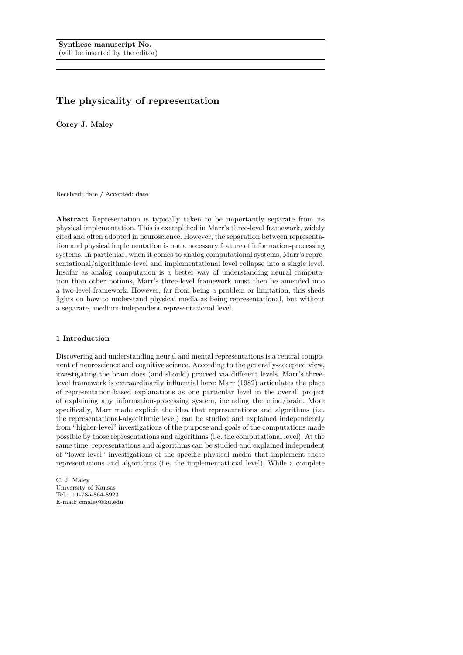# **The physicality of representation**

**Corey J. Maley**

Received: date / Accepted: date

**Abstract** Representation is typically taken to be importantly separate from its physical implementation. This is exemplified in Marr's three-level framework, widely cited and often adopted in neuroscience. However, the separation between representation and physical implementation is not a necessary feature of information-processing systems. In particular, when it comes to analog computational systems, Marr's representational/algorithmic level and implementational level collapse into a single level. Insofar as analog computation is a better way of understanding neural computation than other notions, Marr's three-level framework must then be amended into a two-level framework. However, far from being a problem or limitation, this sheds lights on how to understand physical media as being representational, but without a separate, medium-independent representational level.

# **1 Introduction**

Discovering and understanding neural and mental representations is a central component of neuroscience and cognitive science. According to the generally-accepted view, investigating the brain does (and should) proceed via different levels. Marr's threelevel framework is extraordinarily influential here: Marr (1982) articulates the place of representation-based explanations as one particular level in the overall project of explaining any information-processing system, including the mind/brain. More specifically, Marr made explicit the idea that representations and algorithms (i.e. the representational-algorithmic level) can be studied and explained independently from "higher-level" investigations of the purpose and goals of the computations made possible by those representations and algorithms (i.e. the computational level). At the same time, representations and algorithms can be studied and explained independent of "lower-level" investigations of the specific physical media that implement those representations and algorithms (i.e. the implementational level). While a complete

C. J. Maley University of Kansas Tel.: +1-785-864-8923 E-mail: cmaley@ku.edu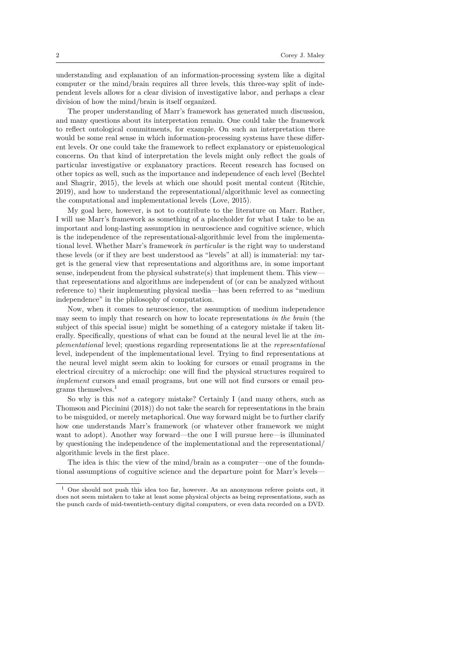understanding and explanation of an information-processing system like a digital computer or the mind/brain requires all three levels, this three-way split of independent levels allows for a clear division of investigative labor, and perhaps a clear division of how the mind/brain is itself organized.

The proper understanding of Marr's framework has generated much discussion, and many questions about its interpretation remain. One could take the framework to reflect ontological commitments, for example. On such an interpretation there would be some real sense in which information-processing systems have these different levels. Or one could take the framework to reflect explanatory or epistemological concerns. On that kind of interpretation the levels might only reflect the goals of particular investigative or explanatory practices. Recent research has focused on other topics as well, such as the importance and independence of each level (Bechtel and Shagrir, 2015), the levels at which one should posit mental content (Ritchie, 2019), and how to understand the representational/algorithmic level as connecting the computational and implementational levels (Love, 2015).

My goal here, however, is not to contribute to the literature on Marr. Rather, I will use Marr's framework as something of a placeholder for what I take to be an important and long-lasting assumption in neuroscience and cognitive science, which is the independence of the representational-algorithmic level from the implementational level. Whether Marr's framework *in particular* is the right way to understand these levels (or if they are best understood as "levels" at all) is immaterial: my target is the general view that representations and algorithms are, in some important sense, independent from the physical substrate(s) that implement them. This viewthat representations and algorithms are independent of (or can be analyzed without reference to) their implementing physical media—has been referred to as "medium independence" in the philosophy of computation.

Now, when it comes to neuroscience, the assumption of medium independence may seem to imply that research on how to locate representations *in the brain* (the subject of this special issue) might be something of a category mistake if taken literally. Specifically, questions of what can be found at the neural level lie at the *implementational* level; questions regarding representations lie at the *representational* level, independent of the implementational level. Trying to find representations at the neural level might seem akin to looking for cursors or email programs in the electrical circuitry of a microchip: one will find the physical structures required to *implement* cursors and email programs, but one will not find cursors or email programs themselves.<sup>1</sup>

So why is this *not* a category mistake? Certainly I (and many others, such as Thomson and Piccinini (2018)) do not take the search for representations in the brain to be misguided, or merely metaphorical. One way forward might be to further clarify how one understands Marr's framework (or whatever other framework we might want to adopt). Another way forward—the one I will pursue here—is illuminated by questioning the independence of the implementational and the representational/ algorithmic levels in the first place.

The idea is this: the view of the mind/brain as a computer—one of the foundational assumptions of cognitive science and the departure point for Marr's levels—

 $1$  One should not push this idea too far, however. As an anonymous referee points out, it does not seem mistaken to take at least some physical objects as being representations, such as the punch cards of mid-twentieth-century digital computers, or even data recorded on a DVD.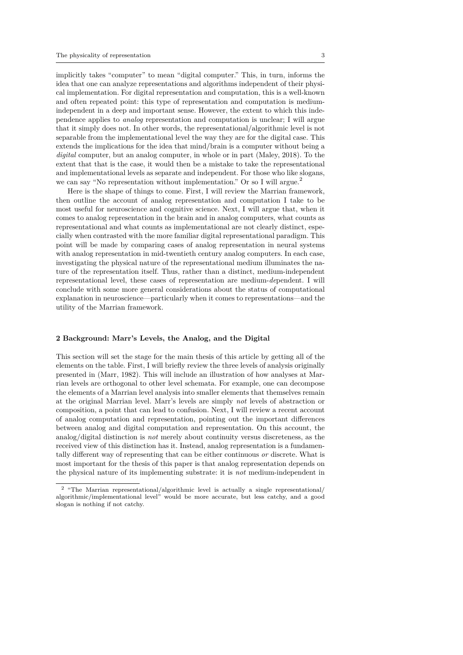implicitly takes "computer" to mean "digital computer." This, in turn, informs the idea that one can analyze representations and algorithms independent of their physical implementation. For digital representation and computation, this is a well-known and often repeated point: this type of representation and computation is mediumindependent in a deep and important sense. However, the extent to which this independence applies to *analog* representation and computation is unclear; I will argue that it simply does not. In other words, the representational/algorithmic level is not separable from the implementational level the way they are for the digital case. This extends the implications for the idea that mind/brain is a computer without being a *digital* computer, but an analog computer, in whole or in part (Maley, 2018). To the extent that that is the case, it would then be a mistake to take the representational and implementational levels as separate and independent. For those who like slogans, we can say "No representation without implementation." Or so I will argue.<sup>2</sup>

Here is the shape of things to come. First, I will review the Marrian framework, then outline the account of analog representation and computation I take to be most useful for neuroscience and cognitive science. Next, I will argue that, when it comes to analog representation in the brain and in analog computers, what counts as representational and what counts as implementational are not clearly distinct, especially when contrasted with the more familiar digital representational paradigm. This point will be made by comparing cases of analog representation in neural systems with analog representation in mid-twentieth century analog computers. In each case, investigating the physical nature of the representational medium illuminates the nature of the representation itself. Thus, rather than a distinct, medium-independent representational level, these cases of representation are medium-*de*pendent. I will conclude with some more general considerations about the status of computational explanation in neuroscience—particularly when it comes to representations—and the utility of the Marrian framework.

## **2 Background: Marr's Levels, the Analog, and the Digital**

This section will set the stage for the main thesis of this article by getting all of the elements on the table. First, I will briefly review the three levels of analysis originally presented in (Marr, 1982). This will include an illustration of how analyses at Marrian levels are orthogonal to other level schemata. For example, one can decompose the elements of a Marrian level analysis into smaller elements that themselves remain at the original Marrian level. Marr's levels are simply *not* levels of abstraction or composition, a point that can lead to confusion. Next, I will review a recent account of analog computation and representation, pointing out the important differences between analog and digital computation and representation. On this account, the analog/digital distinction is *not* merely about continuity versus discreteness, as the received view of this distinction has it. Instead, analog representation is a fundamentally different way of representing that can be either continuous *or* discrete. What is most important for the thesis of this paper is that analog representation depends on the physical nature of its implementing substrate: it is *not* medium-independent in

<sup>2</sup> "The Marrian representational/algorithmic level is actually a single representational/ algorithmic/implementational level" would be more accurate, but less catchy, and a good slogan is nothing if not catchy.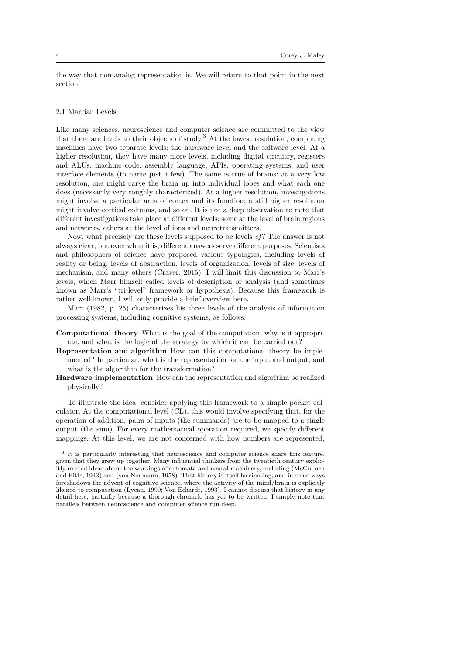the way that non-analog representation is. We will return to that point in the next section.

## 2.1 Marrian Levels

Like many sciences, neuroscience and computer science are committed to the view that there are levels to their objects of study.<sup>3</sup> At the lowest resolution, computing machines have two separate levels: the hardware level and the software level. At a higher resolution, they have many more levels, including digital circuitry, registers and ALUs, machine code, assembly language, APIs, operating systems, and user interface elements (to name just a few). The same is true of brains: at a very low resolution, one might carve the brain up into individual lobes and what each one does (necessarily very roughly characterized). At a higher resolution, investigations might involve a particular area of cortex and its function; a still higher resolution might involve cortical columns, and so on. It is not a deep observation to note that different investigations take place at different levels; some at the level of brain regions and networks, others at the level of ions and neurotransmitters.

Now, what precisely are these levels supposed to be levels *of* ? The answer is not always clear, but even when it is, different answers serve different purposes. Scientists and philosophers of science have proposed various typologies, including levels of reality or being, levels of abstraction, levels of organization, levels of size, levels of mechanism, and many others (Craver, 2015). I will limit this discussion to Marr's levels, which Marr himself called levels of description or analysis (and sometimes known as Marr's "tri-level" framework or hypothesis). Because this framework is rather well-known, I will only provide a brief overview here.

Marr (1982, p. 25) characterizes his three levels of the analysis of information processing systems, including cognitive systems, as follows:

- **Computational theory** What is the goal of the computation, why is it appropriate, and what is the logic of the strategy by which it can be carried out?
- **Representation and algorithm** How can this computational theory be implemented? In particular, what is the representation for the input and output, and what is the algorithm for the transformation?
- **Hardware implementation** How can the representation and algorithm be realized physically?

To illustrate the idea, consider applying this framework to a simple pocket calculator. At the computational level (CL), this would involve specifying that, for the operation of addition, pairs of inputs (the summands) are to be mapped to a single output (the sum). For every mathematical operation required, we specify different mappings. At this level, we are not concerned with how numbers are represented,

<sup>3</sup> It is particularly interesting that neuroscience and computer science share this feature, given that they grew up together. Many influential thinkers from the twentieth century explicitly related ideas about the workings of automata and neural machinery, including (McCulloch and Pitts, 1943) and (von Neumann, 1958). That history is itself fascinating, and in some ways foreshadows the advent of cognitive science, where the activity of the mind/brain is explicitly likened to computation (Lycan, 1990; Von Eckardt, 1993). I cannot discuss that history in any detail here, partially because a thorough chronicle has yet to be written. I simply note that parallels between neuroscience and computer science run deep.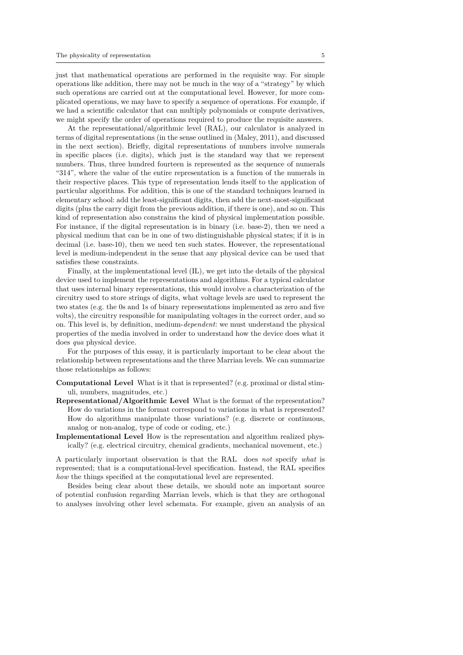just that mathematical operations are performed in the requisite way. For simple operations like addition, there may not be much in the way of a "strategy" by which such operations are carried out at the computational level. However, for more complicated operations, we may have to specify a sequence of operations. For example, if we had a scientific calculator that can multiply polynomials or compute derivatives, we might specify the order of operations required to produce the requisite answers.

At the representational/algorithmic level (RAL), our calculator is analyzed in terms of digital representations (in the sense outlined in (Maley, 2011), and discussed in the next section). Briefly, digital representations of numbers involve numerals in specific places (i.e. digits), which just is the standard way that we represent numbers. Thus, three hundred fourteen is represented as the sequence of numerals "314", where the value of the entire representation is a function of the numerals in their respective places. This type of representation lends itself to the application of particular algorithms. For addition, this is one of the standard techniques learned in elementary school: add the least-significant digits, then add the next-most-significant digits (plus the carry digit from the previous addition, if there is one), and so on. This kind of representation also constrains the kind of physical implementation possible. For instance, if the digital representation is in binary (i.e. base-2), then we need a physical medium that can be in one of two distinguishable physical states; if it is in decimal (i.e. base-10), then we need ten such states. However, the representational level is medium-independent in the sense that any physical device can be used that satisfies these constraints.

Finally, at the implementational level (IL), we get into the details of the physical device used to implement the representations and algorithms. For a typical calculator that uses internal binary representations, this would involve a characterization of the circuitry used to store strings of digits, what voltage levels are used to represent the two states (e.g. the 0s and 1s of binary representations implemented as zero and five volts), the circuitry responsible for manipulating voltages in the correct order, and so on. This level is, by definition, medium-*dependent*: we must understand the physical properties of the media involved in order to understand how the device does what it does *qua* physical device.

For the purposes of this essay, it is particularly important to be clear about the relationship between representations and the three Marrian levels. We can summarize those relationships as follows:

- **Computational Level** What is it that is represented? (e.g. proximal or distal stimuli, numbers, magnitudes, etc.)
- **Representational/Algorithmic Level** What is the format of the representation? How do variations in the format correspond to variations in what is represented? How do algorithms manipulate those variations? (e.g. discrete or continuous, analog or non-analog, type of code or coding, etc.)
- **Implementational Level** How is the representation and algorithm realized physically? (e.g. electrical circuitry, chemical gradients, mechanical movement, etc.)

A particularly important observation is that the RAL does *not* specify *what* is represented; that is a computational-level specification. Instead, the RAL specifies *how* the things specified at the computational level are represented.

Besides being clear about these details, we should note an important source of potential confusion regarding Marrian levels, which is that they are orthogonal to analyses involving other level schemata. For example, given an analysis of an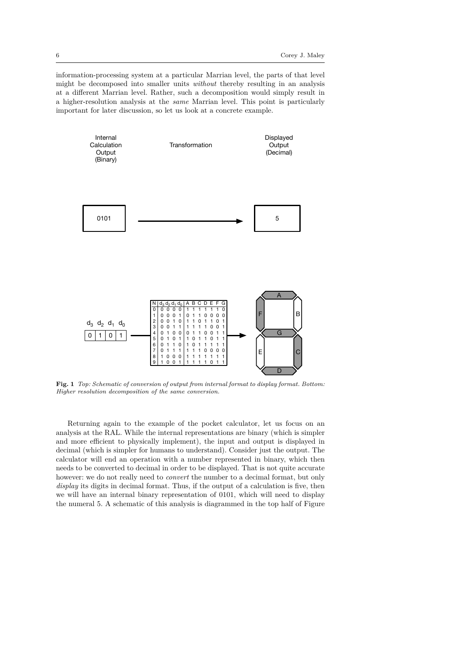information-processing system at a particular Marrian level, the parts of that level might be decomposed into smaller units *without* thereby resulting in an analysis at a different Marrian level. Rather, such a decomposition would simply result in a higher-resolution analysis at the *same* Marrian level. This point is particularly important for later discussion, so let us look at a concrete example.



**Fig. 1** *Top: Schematic of conversion of output from internal format to display format. Bottom: Higher resolution decomposition of the same conversion.*

Returning again to the example of the pocket calculator, let us focus on an analysis at the RAL. While the internal representations are binary (which is simpler and more efficient to physically implement), the input and output is displayed in decimal (which is simpler for humans to understand). Consider just the output. The calculator will end an operation with a number represented in binary, which then needs to be converted to decimal in order to be displayed. That is not quite accurate however: we do not really need to *convert* the number to a decimal format, but only *display* its digits in decimal format. Thus, if the output of a calculation is five, then we will have an internal binary representation of 0101, which will need to display the numeral 5. A schematic of this analysis is diagrammed in the top half of Figure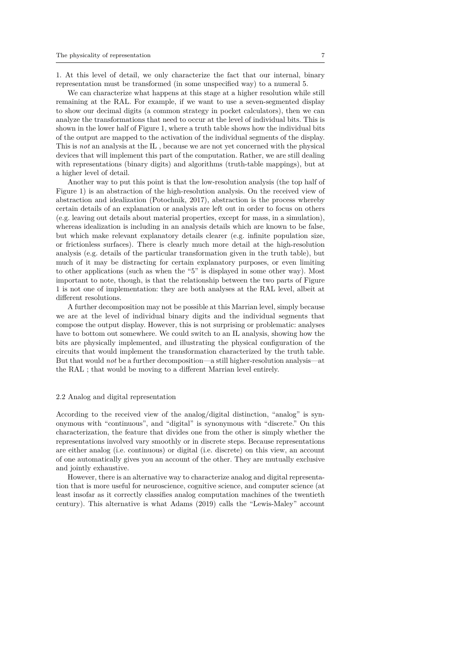1. At this level of detail, we only characterize the fact that our internal, binary representation must be transformed (in some unspecified way) to a numeral 5.

We can characterize what happens at this stage at a higher resolution while still remaining at the RAL. For example, if we want to use a seven-segmented display to show our decimal digits (a common strategy in pocket calculators), then we can analyze the transformations that need to occur at the level of individual bits. This is shown in the lower half of Figure 1, where a truth table shows how the individual bits of the output are mapped to the activation of the individual segments of the display. This is *not* an analysis at the IL , because we are not yet concerned with the physical devices that will implement this part of the computation. Rather, we are still dealing with representations (binary digits) and algorithms (truth-table mappings), but at a higher level of detail.

Another way to put this point is that the low-resolution analysis (the top half of Figure 1) is an abstraction of the high-resolution analysis. On the received view of abstraction and idealization (Potochnik, 2017), abstraction is the process whereby certain details of an explanation or analysis are left out in order to focus on others (e.g. leaving out details about material properties, except for mass, in a simulation), whereas idealization is including in an analysis details which are known to be false, but which make relevant explanatory details clearer (e.g. infinite population size, or frictionless surfaces). There is clearly much more detail at the high-resolution analysis (e.g. details of the particular transformation given in the truth table), but much of it may be distracting for certain explanatory purposes, or even limiting to other applications (such as when the "5" is displayed in some other way). Most important to note, though, is that the relationship between the two parts of Figure 1 is not one of implementation: they are both analyses at the RAL level, albeit at different resolutions.

A further decomposition may not be possible at this Marrian level, simply because we are at the level of individual binary digits and the individual segments that compose the output display. However, this is not surprising or problematic: analyses have to bottom out somewhere. We could switch to an IL analysis, showing how the bits are physically implemented, and illustrating the physical configuration of the circuits that would implement the transformation characterized by the truth table. But that would *not* be a further decomposition—a still higher-resolution analysis—at the RAL ; that would be moving to a different Marrian level entirely.

## 2.2 Analog and digital representation

According to the received view of the analog/digital distinction, "analog" is synonymous with "continuous", and "digital" is synonymous with "discrete." On this characterization, the feature that divides one from the other is simply whether the representations involved vary smoothly or in discrete steps. Because representations are either analog (i.e. continuous) or digital (i.e. discrete) on this view, an account of one automatically gives you an account of the other. They are mutually exclusive and jointly exhaustive.

However, there is an alternative way to characterize analog and digital representation that is more useful for neuroscience, cognitive science, and computer science (at least insofar as it correctly classifies analog computation machines of the twentieth century). This alternative is what Adams (2019) calls the "Lewis-Maley" account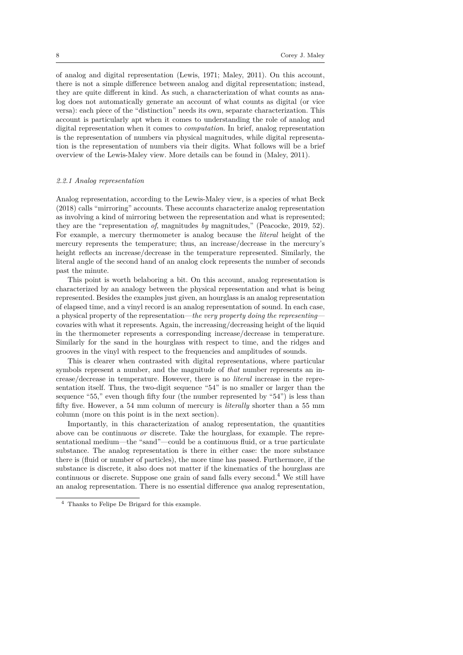of analog and digital representation (Lewis, 1971; Maley, 2011). On this account, there is not a simple difference between analog and digital representation; instead, they are quite different in kind. As such, a characterization of what counts as analog does not automatically generate an account of what counts as digital (or vice versa): each piece of the "distinction" needs its own, separate characterization. This account is particularly apt when it comes to understanding the role of analog and digital representation when it comes to *computation*. In brief, analog representation is the representation of numbers via physical magnitudes, while digital representation is the representation of numbers via their digits. What follows will be a brief overview of the Lewis-Maley view. More details can be found in (Maley, 2011).

## *2.2.1 Analog representation*

Analog representation, according to the Lewis-Maley view, is a species of what Beck (2018) calls "mirroring" accounts. These accounts characterize analog representation as involving a kind of mirroring between the representation and what is represented; they are the "representation *of*, magnitudes *by* magnitudes," (Peacocke, 2019, 52). For example, a mercury thermometer is analog because the *literal* height of the mercury represents the temperature; thus, an increase/decrease in the mercury's height reflects an increase/decrease in the temperature represented. Similarly, the literal angle of the second hand of an analog clock represents the number of seconds past the minute.

This point is worth belaboring a bit. On this account, analog representation is characterized by an analogy between the physical representation and what is being represented. Besides the examples just given, an hourglass is an analog representation of elapsed time, and a vinyl record is an analog representation of sound. In each case, a physical property of the representation—*the very property doing the representing* covaries with what it represents. Again, the increasing/decreasing height of the liquid in the thermometer represents a corresponding increase/decrease in temperature. Similarly for the sand in the hourglass with respect to time, and the ridges and grooves in the vinyl with respect to the frequencies and amplitudes of sounds.

This is clearer when contrasted with digital representations, where particular symbols represent a number, and the magnitude of *that* number represents an increase/decrease in temperature. However, there is no *literal* increase in the representation itself. Thus, the two-digit sequence "54" is no smaller or larger than the sequence "55," even though fifty four (the number represented by "54") is less than fifty five. However, a 54 mm column of mercury is *literally* shorter than a 55 mm column (more on this point is in the next section).

Importantly, in this characterization of analog representation, the quantities above can be continuous *or* discrete. Take the hourglass, for example. The representational medium—the "sand"—could be a continuous fluid, or a true particulate substance. The analog representation is there in either case: the more substance there is (fluid or number of particles), the more time has passed. Furthermore, if the substance is discrete, it also does not matter if the kinematics of the hourglass are continuous or discrete. Suppose one grain of sand falls every second.<sup>4</sup> We still have an analog representation. There is no essential difference *qua* analog representation,

<sup>4</sup> Thanks to Felipe De Brigard for this example.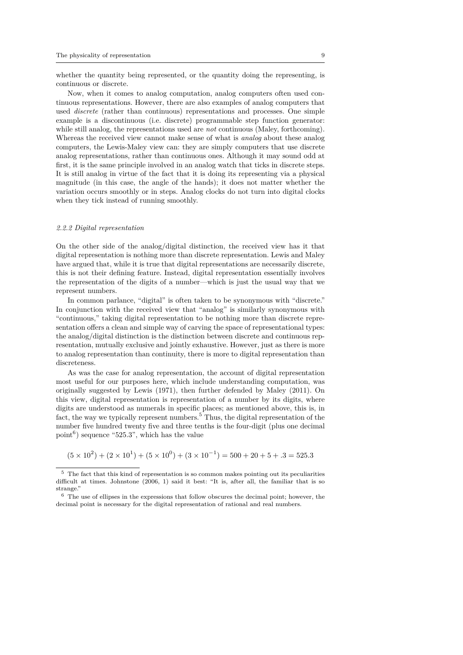whether the quantity being represented, or the quantity doing the representing, is continuous or discrete.

Now, when it comes to analog computation, analog computers often used continuous representations. However, there are also examples of analog computers that used *discrete* (rather than continuous) representations and processes. One simple example is a discontinuous (i.e. discrete) programmable step function generator: while still analog, the representations used are *not* continuous (Maley, forthcoming). Whereas the received view cannot make sense of what is *analog* about these analog computers, the Lewis-Maley view can: they are simply computers that use discrete analog representations, rather than continuous ones. Although it may sound odd at first, it is the same principle involved in an analog watch that ticks in discrete steps. It is still analog in virtue of the fact that it is doing its representing via a physical magnitude (in this case, the angle of the hands); it does not matter whether the variation occurs smoothly or in steps. Analog clocks do not turn into digital clocks when they tick instead of running smoothly.

#### *2.2.2 Digital representation*

On the other side of the analog/digital distinction, the received view has it that digital representation is nothing more than discrete representation. Lewis and Maley have argued that, while it is true that digital representations are necessarily discrete, this is not their defining feature. Instead, digital representation essentially involves the representation of the digits of a number—which is just the usual way that we represent numbers.

In common parlance, "digital" is often taken to be synonymous with "discrete." In conjunction with the received view that "analog" is similarly synonymous with "continuous," taking digital representation to be nothing more than discrete representation offers a clean and simple way of carving the space of representational types: the analog/digital distinction is the distinction between discrete and continuous representation, mutually exclusive and jointly exhaustive. However, just as there is more to analog representation than continuity, there is more to digital representation than discreteness.

As was the case for analog representation, the account of digital representation most useful for our purposes here, which include understanding computation, was originally suggested by Lewis (1971), then further defended by Maley (2011). On this view, digital representation is representation of a number by its digits, where digits are understood as numerals in specific places; as mentioned above, this is, in fact, the way we typically represent numbers.<sup>5</sup> Thus, the digital representation of the number five hundred twenty five and three tenths is the four-digit (plus one decimal point<sup>6</sup>) sequence "525.3", which has the value

 $(5 \times 10^2) + (2 \times 10^1) + (5 \times 10^0) + (3 \times 10^{-1}) = 500 + 20 + 5 + .3 = 525.3$ 

<sup>5</sup> The fact that this kind of representation is so common makes pointing out its peculiarities difficult at times. Johnstone (2006, 1) said it best: "It is, after all, the familiar that is so strange."

 $^6\,$  The use of ellipses in the expressions that follow obscures the decimal point; however, the decimal point is necessary for the digital representation of rational and real numbers.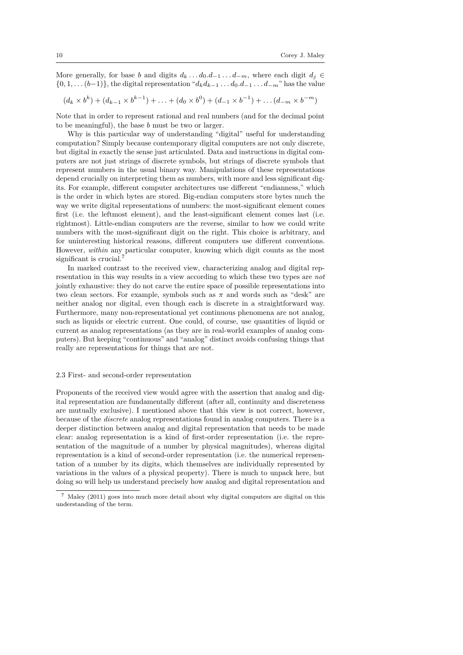More generally, for base *b* and digits  $d_k \ldots d_0 \ldots d_{-1} \ldots d_{-m}$ , where each digit  $d_j \in$ *{*0*,* 1*, . . .*(*b−*1)*}*, the digital representation "*dkd<sup>k</sup>−*<sup>1</sup> *. . . d*0*.d−*<sup>1</sup> *. . . d−<sup>m</sup>*" has the value

$$
(d_k \times b^k) + (d_{k-1} \times b^{k-1}) + \ldots + (d_0 \times b^0) + (d_{-1} \times b^{-1}) + \ldots + (d_{-m} \times b^{-m})
$$

Note that in order to represent rational and real numbers (and for the decimal point to be meaningful), the base *b* must be two or larger.

Why is this particular way of understanding "digital" useful for understanding computation? Simply because contemporary digital computers are not only discrete, but digital in exactly the sense just articulated. Data and instructions in digital computers are not just strings of discrete symbols, but strings of discrete symbols that represent numbers in the usual binary way. Manipulations of these representations depend crucially on interpreting them as numbers, with more and less significant digits. For example, different computer architectures use different "endianness," which is the order in which bytes are stored. Big-endian computers store bytes much the way we write digital representations of numbers: the most-significant element comes first (i.e. the leftmost element), and the least-significant element comes last (i.e. rightmost). Little-endian computers are the reverse, similar to how we could write numbers with the most-significant digit on the right. This choice is arbitrary, and for uninteresting historical reasons, different computers use different conventions. However, *within* any particular computer, knowing which digit counts as the most significant is crucial.<sup>7</sup>

In marked contrast to the received view, characterizing analog and digital representation in this way results in a view according to which these two types are *not* jointly exhaustive: they do not carve the entire space of possible representations into two clean sectors. For example, symbols such as  $\pi$  and words such as "desk" are neither analog nor digital, even though each is discrete in a straightforward way. Furthermore, many non-representational yet continuous phenomena are not analog, such as liquids or electric current. One could, of course, use quantities of liquid or current as analog representations (as they are in real-world examples of analog computers). But keeping "continuous" and "analog" distinct avoids confusing things that really are representations for things that are not.

#### 2.3 First- and second-order representation

Proponents of the received view would agree with the assertion that analog and digital representation are fundamentally different (after all, continuity and discreteness are mutually exclusive). I mentioned above that this view is not correct, however, because of the *discrete* analog representations found in analog computers. There is a deeper distinction between analog and digital representation that needs to be made clear: analog representation is a kind of first-order representation (i.e. the representation of the magnitude of a number by physical magnitudes), whereas digital representation is a kind of second-order representation (i.e. the numerical representation of a number by its digits, which themselves are individually represented by variations in the values of a physical property). There is much to unpack here, but doing so will help us understand precisely how analog and digital representation and

<sup>7</sup> Maley (2011) goes into much more detail about why digital computers are digital on this understanding of the term.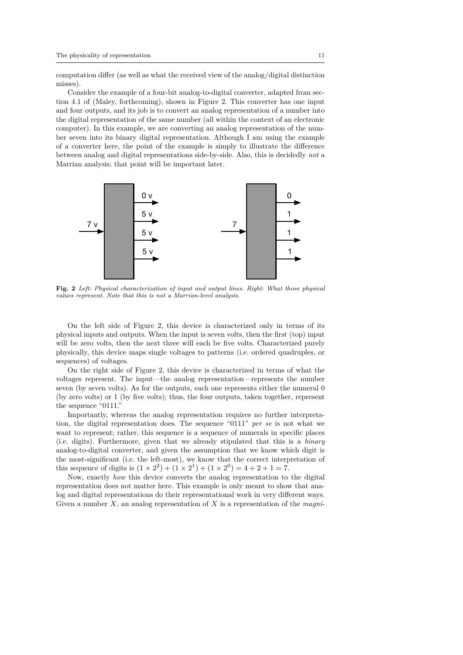computation differ (as well as what the received view of the analog/digital distinction misses).

Consider the example of a four-bit analog-to-digital converter, adapted from section 4.1 of (Maley, forthcoming), shown in Figure 2. This converter has one input and four outputs, and its job is to convert an analog representation of a number into the digital representation of the same number (all within the context of an electronic computer). In this example, we are converting an analog representation of the number seven into its binary digital representation. Although I am using the example of a converter here, the point of the example is simply to illustrate the difference between analog and digital representations side-by-side. Also, this is decidedly *not* a Marrian analysis; that point will be important later.



**Fig. 2** *Left: Physical characterization of input and output lines. Right: What those physical values represent. Note that this is not a Marrian-level analysis.*

On the left side of Figure 2, this device is characterized only in terms of its physical inputs and outputs. When the input is seven volts, then the first (top) input will be zero volts, then the next three will each be five volts. Characterized purely physically, this device maps single voltages to patterns (i.e. ordered quadruples, or sequences) of voltages.

On the right side of Figure 2, this device is characterized in terms of what the voltages represent. The input—the analog representation—represents the number seven (by seven volts). As for the outputs, each one represents either the numeral 0 (by zero volts) or 1 (by five volts); thus, the four outputs, taken together, represent the sequence "0111."

Importantly, whereas the analog representation requires no further interpretation, the digital representation does. The sequence "0111" *per se* is not what we want to represent; rather, this sequence is a sequence of numerals in specific places (i.e. digits). Furthermore, given that we already stipulated that this is a *binary* analog-to-digital converter, and given the assumption that we know which digit is the most-significant (i.e. the left-most), we know that the correct interpretation of this sequence of digits is  $(1 \times 2^2) + (1 \times 2^1) + (1 \times 2^0) = 4 + 2 + 1 = 7$ .

Now, exactly *how* this device converts the analog representation to the digital representation does not matter here. This example is only meant to show that analog and digital representations do their representational work in very different ways. Given a number *X*, an analog representation of *X* is a representation of the *magni-*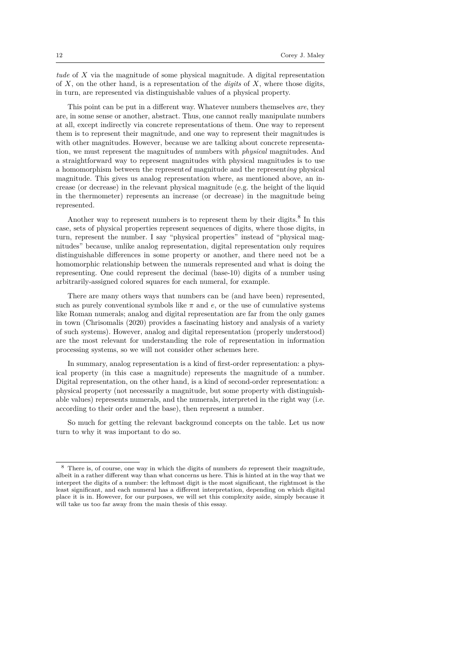*tude* of *X* via the magnitude of some physical magnitude. A digital representation of *X*, on the other hand, is a representation of the *digits* of *X*, where those digits, in turn, are represented via distinguishable values of a physical property.

This point can be put in a different way. Whatever numbers themselves *are*, they are, in some sense or another, abstract. Thus, one cannot really manipulate numbers at all, except indirectly via concrete representations of them. One way to represent them is to represent their magnitude, and one way to represent their magnitudes is with other magnitudes. However, because we are talking about concrete representation, we must represent the magnitudes of numbers with *physical* magnitudes. And a straightforward way to represent magnitudes with physical magnitudes is to use a homomorphism between the represent*ed* magnitude and the represent*ing* physical magnitude. This gives us analog representation where, as mentioned above, an increase (or decrease) in the relevant physical magnitude (e.g. the height of the liquid in the thermometer) represents an increase (or decrease) in the magnitude being represented.

Another way to represent numbers is to represent them by their digits.<sup>8</sup> In this case, sets of physical properties represent sequences of digits, where those digits, in turn, represent the number. I say "physical properties" instead of "physical magnitudes" because, unlike analog representation, digital representation only requires distinguishable differences in some property or another, and there need not be a homomorphic relationship between the numerals represented and what is doing the representing. One could represent the decimal (base-10) digits of a number using arbitrarily-assigned colored squares for each numeral, for example.

There are many others ways that numbers can be (and have been) represented, such as purely conventional symbols like  $\pi$  and  $e$ , or the use of cumulative systems like Roman numerals; analog and digital representation are far from the only games in town (Chrisomalis (2020) provides a fascinating history and analysis of a variety of such systems). However, analog and digital representation (properly understood) are the most relevant for understanding the role of representation in information processing systems, so we will not consider other schemes here.

In summary, analog representation is a kind of first-order representation: a physical property (in this case a magnitude) represents the magnitude of a number. Digital representation, on the other hand, is a kind of second-order representation: a physical property (not necessarily a magnitude, but some property with distinguishable values) represents numerals, and the numerals, interpreted in the right way (i.e. according to their order and the base), then represent a number.

So much for getting the relevant background concepts on the table. Let us now turn to why it was important to do so.

<sup>8</sup> There is, of course, one way in which the digits of numbers *do* represent their magnitude, albeit in a rather different way than what concerns us here. This is hinted at in the way that we interpret the digits of a number: the leftmost digit is the most significant, the rightmost is the least significant, and each numeral has a different interpretation, depending on which digital place it is in. However, for our purposes, we will set this complexity aside, simply because it will take us too far away from the main thesis of this essay.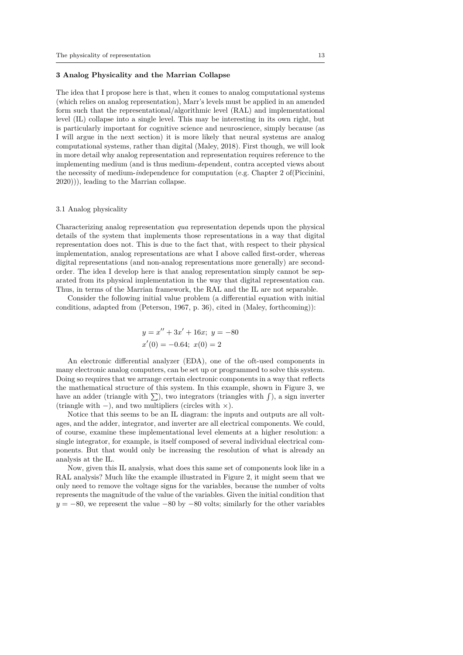## **3 Analog Physicality and the Marrian Collapse**

The idea that I propose here is that, when it comes to analog computational systems (which relies on analog representation), Marr's levels must be applied in an amended form such that the representational/algorithmic level (RAL) and implementational level (IL) collapse into a single level. This may be interesting in its own right, but is particularly important for cognitive science and neuroscience, simply because (as I will argue in the next section) it is more likely that neural systems are analog computational systems, rather than digital (Maley, 2018). First though, we will look in more detail why analog representation and representation requires reference to the implementing medium (and is thus medium-*de*pendent, contra accepted views about the necessity of medium-*in*dependence for computation (e.g. Chapter 2 of(Piccinini, 2020))), leading to the Marrian collapse.

## 3.1 Analog physicality

Characterizing analog representation *qua* representation depends upon the physical details of the system that implements those representations in a way that digital representation does not. This is due to the fact that, with respect to their physical implementation, analog representations are what I above called first-order, whereas digital representations (and non-analog representations more generally) are secondorder. The idea I develop here is that analog representation simply cannot be separated from its physical implementation in the way that digital representation can. Thus, in terms of the Marrian framework, the RAL and the IL are not separable.

Consider the following initial value problem (a differential equation with initial conditions, adapted from (Peterson, 1967, p. 36), cited in (Maley, forthcoming)):

$$
y = x'' + 3x' + 16x; y = -80
$$
  

$$
x'(0) = -0.64; x(0) = 2
$$

An electronic differential analyzer (EDA), one of the oft-used components in many electronic analog computers, can be set up or programmed to solve this system. Doing so requires that we arrange certain electronic components in a way that reflects the mathematical structure of this system. In this example, shown in Figure 3, we have an adder (triangle with  $\sum$ ), two integrators (triangles with  $\int$ ), a sign inverter (triangle with *−*), and two multipliers (circles with *×*).

Notice that this seems to be an IL diagram: the inputs and outputs are all voltages, and the adder, integrator, and inverter are all electrical components. We could, of course, examine these implementational level elements at a higher resolution: a single integrator, for example, is itself composed of several individual electrical components. But that would only be increasing the resolution of what is already an analysis at the IL.

Now, given this IL analysis, what does this same set of components look like in a RAL analysis? Much like the example illustrated in Figure 2, it might seem that we only need to remove the voltage signs for the variables, because the number of volts represents the magnitude of the value of the variables. Given the initial condition that *y* = −80, we represent the value −80 by −80 volts; similarly for the other variables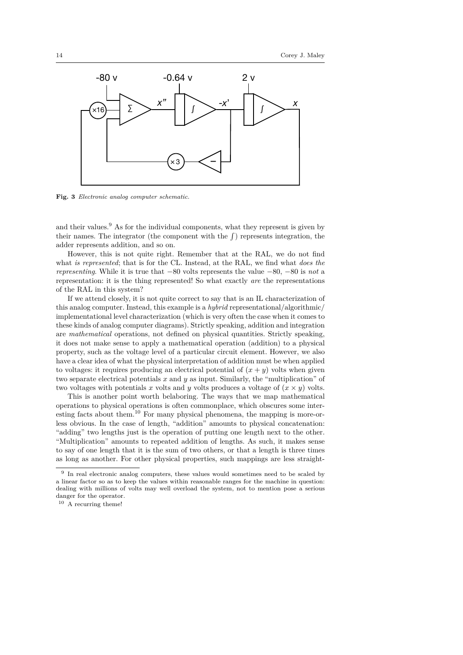

**Fig. 3** *Electronic analog computer schematic.*

and their values. $9$  As for the individual components, what they represent is given by their names. The integrator (the component with the ∫ ) represents integration, the adder represents addition, and so on.

However, this is not quite right. Remember that at the RAL, we do not find what *is represented*; that is for the CL. Instead, at the RAL, we find what *does the representing*. While it is true that *−*80 volts represents the value *−*80, *−*80 is *not* a representation: it is the thing represented! So what exactly *are* the representations of the RAL in this system?

If we attend closely, it is not quite correct to say that is an IL characterization of this analog computer. Instead, this example is a *hybrid* representational/algorithmic/ implementational level characterization (which is very often the case when it comes to these kinds of analog computer diagrams). Strictly speaking, addition and integration are *mathematical* operations, not defined on physical quantities. Strictly speaking, it does not make sense to apply a mathematical operation (addition) to a physical property, such as the voltage level of a particular circuit element. However, we also have a clear idea of what the physical interpretation of addition must be when applied to voltages: it requires producing an electrical potential of  $(x + y)$  volts when given two separate electrical potentials *x* and *y* as input. Similarly, the "multiplication" of two voltages with potentials *x* volts and *y* volts produces a voltage of  $(x \times y)$  volts.

This is another point worth belaboring. The ways that we map mathematical operations to physical operations is often commonplace, which obscures some interesting facts about them.<sup>10</sup> For many physical phenomena, the mapping is more-orless obvious. In the case of length, "addition" amounts to physical concatenation: "adding" two lengths just is the operation of putting one length next to the other. "Multiplication" amounts to repeated addition of lengths. As such, it makes sense to say of one length that it is the sum of two others, or that a length is three times as long as another. For other physical properties, such mappings are less straight-

<sup>&</sup>lt;sup>9</sup> In real electronic analog computers, these values would sometimes need to be scaled by a linear factor so as to keep the values within reasonable ranges for the machine in question: dealing with millions of volts may well overload the system, not to mention pose a serious danger for the operator.

<sup>&</sup>lt;sup>10</sup> A recurring theme!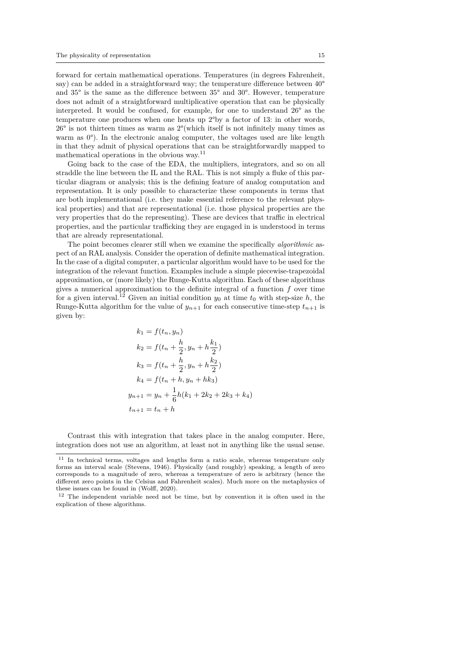forward for certain mathematical operations. Temperatures (in degrees Fahrenheit, say) can be added in a straightforward way; the temperature difference between  $40^{\circ}$ and 35° is the same as the difference between 35° and 30°. However, temperature does not admit of a straightforward multiplicative operation that can be physically interpreted. It would be confused, for example, for one to understand 26° as the temperature one produces when one heats up 2°by a factor of 13: in other words,  $26^{\circ}$  is not thirteen times as warm as  $2^{\circ}$  (which itself is not infinitely many times as warm as  $0^{\circ}$ ). In the electronic analog computer, the voltages used are like length in that they admit of physical operations that can be straightforwardly mapped to mathematical operations in the obvious way.<sup>11</sup>

Going back to the case of the EDA, the multipliers, integrators, and so on all straddle the line between the IL and the RAL. This is not simply a fluke of this particular diagram or analysis; this is the defining feature of analog computation and representation. It is only possible to characterize these components in terms that are both implementational (i.e. they make essential reference to the relevant physical properties) and that are representational (i.e. those physical properties are the very properties that do the representing). These are devices that traffic in electrical properties, and the particular trafficking they are engaged in is understood in terms that are already representational.

The point becomes clearer still when we examine the specifically *algorithmic* aspect of an RAL analysis. Consider the operation of definite mathematical integration. In the case of a digital computer, a particular algorithm would have to be used for the integration of the relevant function. Examples include a simple piecewise-trapezoidal approximation, or (more likely) the Runge-Kutta algorithm. Each of these algorithms gives a numerical approximation to the definite integral of a function *f* over time for a given interval.<sup>12</sup> Given an initial condition  $y_0$  at time  $t_0$  with step-size  $h$ , the Runge-Kutta algorithm for the value of  $y_{n+1}$  for each consecutive time-step  $t_{n+1}$  is given by:

$$
k_1 = f(t_n, y_n)
$$
  
\n
$$
k_2 = f(t_n + \frac{h}{2}, y_n + h\frac{k_1}{2})
$$
  
\n
$$
k_3 = f(t_n + \frac{h}{2}, y_n + h\frac{k_2}{2})
$$
  
\n
$$
k_4 = f(t_n + h, y_n + hk_3)
$$
  
\n
$$
y_{n+1} = y_n + \frac{1}{6}h(k_1 + 2k_2 + 2k_3 + k_4)
$$
  
\n
$$
t_{n+1} = t_n + h
$$

Contrast this with integration that takes place in the analog computer. Here, integration does not use an algorithm, at least not in anything like the usual sense.

<sup>11</sup> In technical terms, voltages and lengths form a ratio scale, whereas temperature only forms an interval scale (Stevens, 1946). Physically (and roughly) speaking, a length of zero corresponds to a magnitude of zero, whereas a temperature of zero is arbitrary (hence the different zero points in the Celsius and Fahrenheit scales). Much more on the metaphysics of these issues can be found in (Wolff, 2020).

<sup>12</sup> The independent variable need not be time, but by convention it is often used in the explication of these algorithms.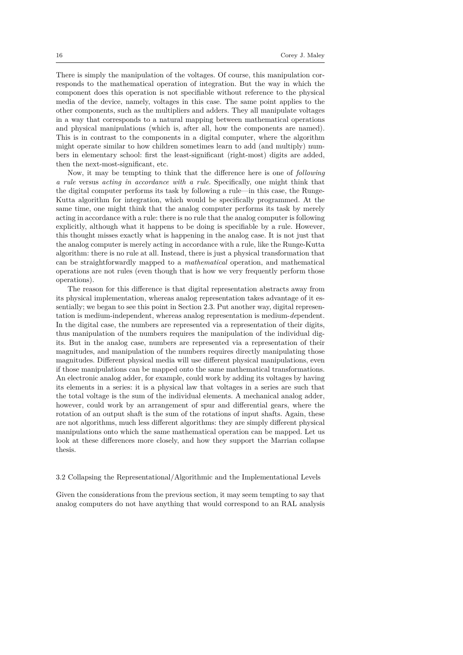There is simply the manipulation of the voltages. Of course, this manipulation corresponds to the mathematical operation of integration. But the way in which the component does this operation is not specifiable without reference to the physical media of the device, namely, voltages in this case. The same point applies to the other components, such as the multipliers and adders. They all manipulate voltages in a way that corresponds to a natural mapping between mathematical operations and physical manipulations (which is, after all, how the components are named). This is in contrast to the components in a digital computer, where the algorithm might operate similar to how children sometimes learn to add (and multiply) numbers in elementary school: first the least-significant (right-most) digits are added, then the next-most-significant, etc.

Now, it may be tempting to think that the difference here is one of *following a rule* versus *acting in accordance with a rule*. Specifically, one might think that the digital computer performs its task by following a rule—in this case, the Runge-Kutta algorithm for integration, which would be specifically programmed. At the same time, one might think that the analog computer performs its task by merely acting in accordance with a rule: there is no rule that the analog computer is following explicitly, although what it happens to be doing is specifiable by a rule. However, this thought misses exactly what is happening in the analog case. It is not just that the analog computer is merely acting in accordance with a rule, like the Runge-Kutta algorithm: there is no rule at all. Instead, there is just a physical transformation that can be straightforwardly mapped to a *mathematical* operation, and mathematical operations are not rules (even though that is how we very frequently perform those operations).

The reason for this difference is that digital representation abstracts away from its physical implementation, whereas analog representation takes advantage of it essentially; we began to see this point in Section 2.3. Put another way, digital representation is medium-independent, whereas analog representation is medium-*de*pendent. In the digital case, the numbers are represented via a representation of their digits, thus manipulation of the numbers requires the manipulation of the individual digits. But in the analog case, numbers are represented via a representation of their magnitudes, and manipulation of the numbers requires directly manipulating those magnitudes. Different physical media will use different physical manipulations, even if those manipulations can be mapped onto the same mathematical transformations. An electronic analog adder, for example, could work by adding its voltages by having its elements in a series: it is a physical law that voltages in a series are such that the total voltage is the sum of the individual elements. A mechanical analog adder, however, could work by an arrangement of spur and differential gears, where the rotation of an output shaft is the sum of the rotations of input shafts. Again, these are not algorithms, much less different algorithms: they are simply different physical manipulations onto which the same mathematical operation can be mapped. Let us look at these differences more closely, and how they support the Marrian collapse thesis.

## 3.2 Collapsing the Representational/Algorithmic and the Implementational Levels

Given the considerations from the previous section, it may seem tempting to say that analog computers do not have anything that would correspond to an RAL analysis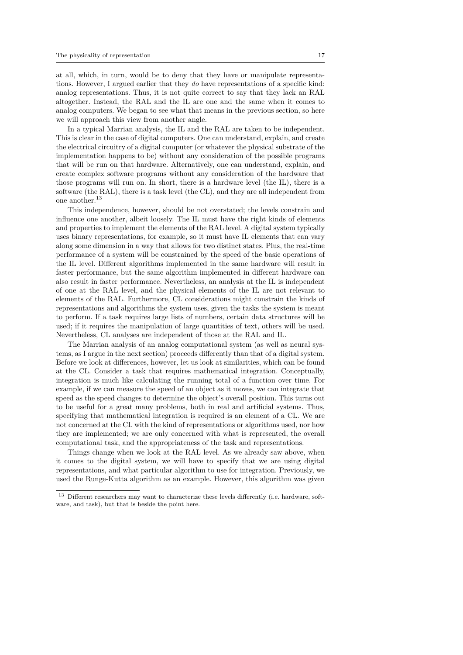at all, which, in turn, would be to deny that they have or manipulate representations. However, I argued earlier that they *do* have representations of a specific kind: analog representations. Thus, it is not quite correct to say that they lack an RAL altogether. Instead, the RAL and the IL are one and the same when it comes to analog computers. We began to see what that means in the previous section, so here we will approach this view from another angle.

In a typical Marrian analysis, the IL and the RAL are taken to be independent. This is clear in the case of digital computers. One can understand, explain, and create the electrical circuitry of a digital computer (or whatever the physical substrate of the implementation happens to be) without any consideration of the possible programs that will be run on that hardware. Alternatively, one can understand, explain, and create complex software programs without any consideration of the hardware that those programs will run on. In short, there is a hardware level (the IL), there is a software (the RAL), there is a task level (the CL), and they are all independent from one another.<sup>13</sup>

This independence, however, should be not overstated; the levels constrain and influence one another, albeit loosely. The IL must have the right kinds of elements and properties to implement the elements of the RAL level. A digital system typically uses binary representations, for example, so it must have IL elements that can vary along some dimension in a way that allows for two distinct states. Plus, the real-time performance of a system will be constrained by the speed of the basic operations of the IL level. Different algorithms implemented in the same hardware will result in faster performance, but the same algorithm implemented in different hardware can also result in faster performance. Nevertheless, an analysis at the IL is independent of one at the RAL level, and the physical elements of the IL are not relevant to elements of the RAL. Furthermore, CL considerations might constrain the kinds of representations and algorithms the system uses, given the tasks the system is meant to perform. If a task requires large lists of numbers, certain data structures will be used; if it requires the manipulation of large quantities of text, others will be used. Nevertheless, CL analyses are independent of those at the RAL and IL.

The Marrian analysis of an analog computational system (as well as neural systems, as I argue in the next section) proceeds differently than that of a digital system. Before we look at differences, however, let us look at similarities, which can be found at the CL. Consider a task that requires mathematical integration. Conceptually, integration is much like calculating the running total of a function over time. For example, if we can measure the speed of an object as it moves, we can integrate that speed as the speed changes to determine the object's overall position. This turns out to be useful for a great many problems, both in real and artificial systems. Thus, specifying that mathematical integration is required is an element of a CL. We are not concerned at the CL with the kind of representations or algorithms used, nor how they are implemented; we are only concerned with what is represented, the overall computational task, and the appropriateness of the task and representations.

Things change when we look at the RAL level. As we already saw above, when it comes to the digital system, we will have to specify that we are using digital representations, and what particular algorithm to use for integration. Previously, we used the Runge-Kutta algorithm as an example. However, this algorithm was given

<sup>13</sup> Different researchers may want to characterize these levels differently (i.e. hardware, software, and task), but that is beside the point here.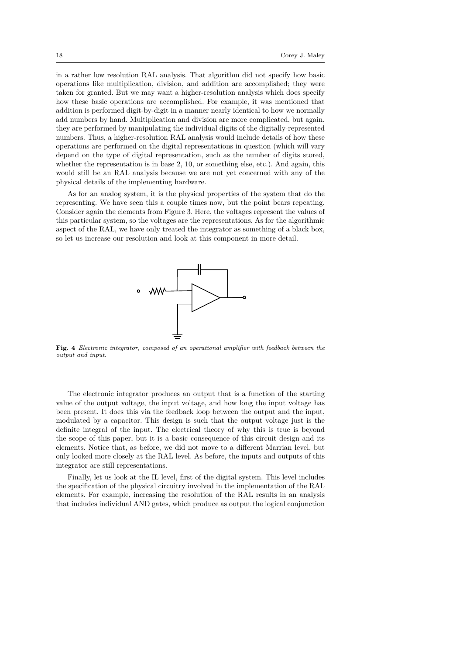in a rather low resolution RAL analysis. That algorithm did not specify how basic operations like multiplication, division, and addition are accomplished; they were taken for granted. But we may want a higher-resolution analysis which does specify how these basic operations are accomplished. For example, it was mentioned that addition is performed digit-by-digit in a manner nearly identical to how we normally add numbers by hand. Multiplication and division are more complicated, but again, they are performed by manipulating the individual digits of the digitally-represented numbers. Thus, a higher-resolution RAL analysis would include details of how these operations are performed on the digital representations in question (which will vary depend on the type of digital representation, such as the number of digits stored, whether the representation is in base 2, 10, or something else, etc.). And again, this would still be an RAL analysis because we are not yet concerned with any of the physical details of the implementing hardware.

As for an analog system, it is the physical properties of the system that do the representing. We have seen this a couple times now, but the point bears repeating. Consider again the elements from Figure 3. Here, the voltages represent the values of this particular system, so the voltages are the representations. As for the algorithmic aspect of the RAL, we have only treated the integrator as something of a black box, so let us increase our resolution and look at this component in more detail.



**Fig. 4** *Electronic integrator, composed of an operational amplifier with feedback between the output and input.*

The electronic integrator produces an output that is a function of the starting value of the output voltage, the input voltage, and how long the input voltage has been present. It does this via the feedback loop between the output and the input, modulated by a capacitor. This design is such that the output voltage just is the definite integral of the input. The electrical theory of why this is true is beyond the scope of this paper, but it is a basic consequence of this circuit design and its elements. Notice that, as before, we did not move to a different Marrian level, but only looked more closely at the RAL level. As before, the inputs and outputs of this integrator are still representations.

Finally, let us look at the IL level, first of the digital system. This level includes the specification of the physical circuitry involved in the implementation of the RAL elements. For example, increasing the resolution of the RAL results in an analysis that includes individual AND gates, which produce as output the logical conjunction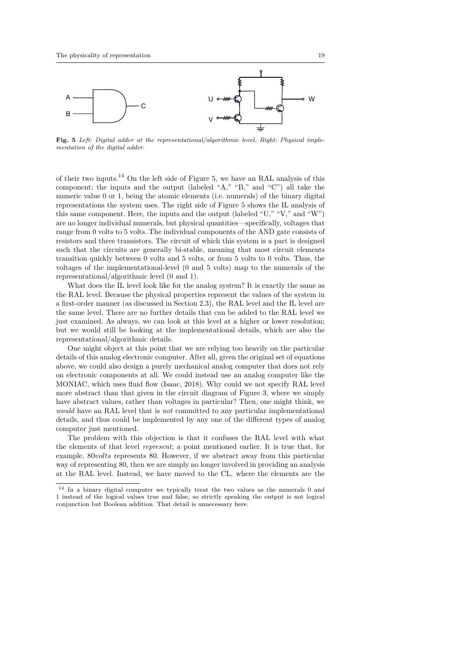

**Fig. 5** *Left: Digital adder at the representational/algorithmic level. Right: Physical implementation of the digital adder.*

of their two inputs.<sup>14</sup> On the left side of Figure 5, we have an RAL analysis of this component; the inputs and the output (labeled "A," "B," and "C") all take the numeric value 0 or 1, being the atomic elements (i.e. numerals) of the binary digital representations the system uses. The right side of Figure 5 shows the IL analysis of this same component. Here, the inputs and the output (labeled "U," "V," and "W") are no longer individual numerals, but physical quantities—specifically, voltages that range from 0 volts to 5 volts. The individual components of the AND gate consists of resistors and three transistors. The circuit of which this system is a part is designed such that the circuits are generally bi-stable, meaning that most circuit elements transition quickly between 0 volts and 5 volts, or from 5 volts to 0 volts. Thus, the voltages of the implementational-level (0 and 5 volts) map to the numerals of the representational/algorithmic level (0 and 1).

What does the IL level look like for the analog system? It is exactly the same as the RAL level. Because the physical properties represent the values of the system in a first-order manner (as discussed in Section 2.3), the RAL level and the IL level are the same level. There are no further details that can be added to the RAL level we just examined. As always, we can look at this level at a higher or lower resolution; but we would still be looking at the implementational details, which are also the representational/algorithmic details.

One might object at this point that we are relying too heavily on the particular details of this analog electronic computer. After all, given the original set of equations above, we could also design a purely mechanical analog computer that does not rely on electronic components at all. We could instead use an analog computer like the MONIAC, which uses fluid flow (Isaac, 2018). Why could we not specify RAL level more abstract than that given in the circuit diagram of Figure 3, where we simply have abstract values, rather than voltages in particular? Then, one might think, we *would* have an RAL level that is *not* committed to any particular implementational details, and thus could be implemented by any one of the different types of analog computer just mentioned.

The problem with this objection is that it confuses the RAL level with what the elements of that level *represent*; a point mentioned earlier. It is true that, for example, 80*volts* represents 80. However, if we abstract away from this particular way of representing 80, then we are simply no longer involved in providing an analysis at the RAL level. Instead, we have moved to the CL, where the elements are the

<sup>14</sup> In a binary digital computer we typically treat the two values as the numerals 0 and 1 instead of the logical values true and false, so strictly speaking the output is not logical conjunction but Boolean addition. That detail is unnecessary here.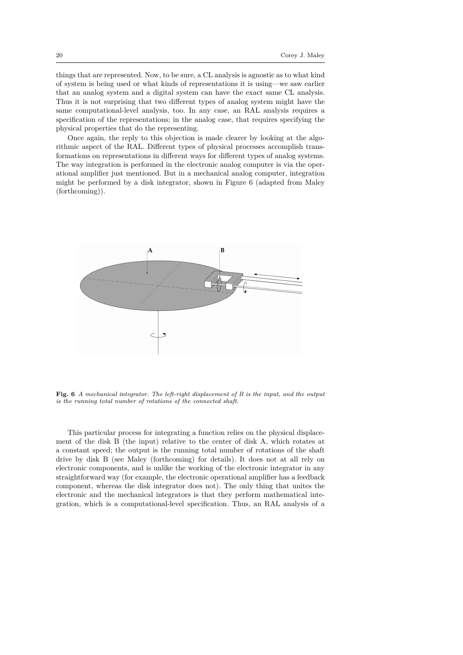things that are represented. Now, to be sure, a CL analysis is agnostic as to what kind of system is being used or what kinds of representations it is using—we saw earlier that an analog system and a digital system can have the exact same CL analysis. Thus it is not surprising that two different types of analog system might have the same computational-level analysis, too. In any case, an RAL analysis requires a specification of the representations; in the analog case, that requires specifying the physical properties that do the representing.

Once again, the reply to this objection is made clearer by looking at the algorithmic aspect of the RAL. Different types of physical processes accomplish transformations on representations in different ways for different types of analog systems. The way integration is performed in the electronic analog computer is via the operational amplifier just mentioned. But in a mechanical analog computer, integration might be performed by a disk integrator, shown in Figure 6 (adapted from Maley (forthcoming)).



**Fig. 6** *A mechanical integrator. The left-right displacement of B is the input, and the output is the running total number of rotations of the connected shaft.*

This particular process for integrating a function relies on the physical displacement of the disk B (the input) relative to the center of disk A, which rotates at a constant speed; the output is the running total number of rotations of the shaft drive by disk B (see Maley (forthcoming) for details). It does not at all rely on electronic components, and is unlike the working of the electronic integrator in any straightforward way (for example, the electronic operational amplifier has a feedback component, whereas the disk integrator does not). The only thing that unites the electronic and the mechanical integrators is that they perform mathematical integration, which is a computational-level specification. Thus, an RAL analysis of a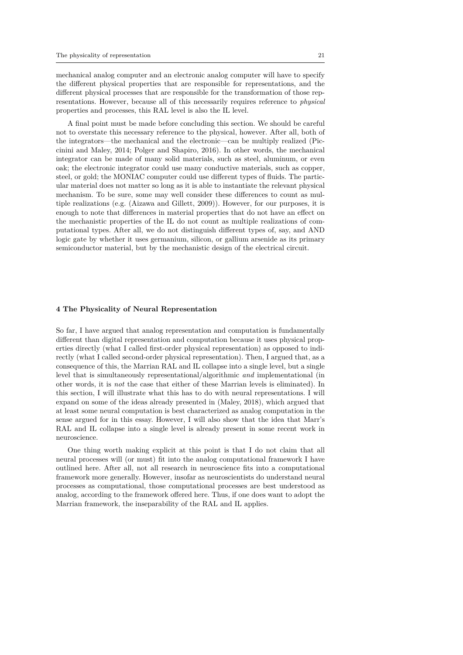mechanical analog computer and an electronic analog computer will have to specify the different physical properties that are responsible for representations, and the different physical processes that are responsible for the transformation of those representations. However, because all of this necessarily requires reference to *physical* properties and processes, this RAL level is also the IL level.

A final point must be made before concluding this section. We should be careful not to overstate this necessary reference to the physical, however. After all, both of the integrators—the mechanical and the electronic—can be multiply realized (Piccinini and Maley, 2014; Polger and Shapiro, 2016). In other words, the mechanical integrator can be made of many solid materials, such as steel, aluminum, or even oak; the electronic integrator could use many conductive materials, such as copper, steel, or gold; the MONIAC computer could use different types of fluids. The particular material does not matter so long as it is able to instantiate the relevant physical mechanism. To be sure, some may well consider these differences to count as multiple realizations (e.g. (Aizawa and Gillett, 2009)). However, for our purposes, it is enough to note that differences in material properties that do not have an effect on the mechanistic properties of the IL do not count as multiple realizations of computational types. After all, we do not distinguish different types of, say, and AND logic gate by whether it uses germanium, silicon, or gallium arsenide as its primary semiconductor material, but by the mechanistic design of the electrical circuit.

#### **4 The Physicality of Neural Representation**

So far, I have argued that analog representation and computation is fundamentally different than digital representation and computation because it uses physical properties directly (what I called first-order physical representation) as opposed to indirectly (what I called second-order physical representation). Then, I argued that, as a consequence of this, the Marrian RAL and IL collapse into a single level, but a single level that is simultaneously representational/algorithmic *and* implementational (in other words, it is *not* the case that either of these Marrian levels is eliminated). In this section, I will illustrate what this has to do with neural representations. I will expand on some of the ideas already presented in (Maley, 2018), which argued that at least some neural computation is best characterized as analog computation in the sense argued for in this essay. However, I will also show that the idea that Marr's RAL and IL collapse into a single level is already present in some recent work in neuroscience.

One thing worth making explicit at this point is that I do not claim that all neural processes will (or must) fit into the analog computational framework I have outlined here. After all, not all research in neuroscience fits into a computational framework more generally. However, insofar as neuroscientists do understand neural processes as computational, those computational processes are best understood as analog, according to the framework offered here. Thus, if one does want to adopt the Marrian framework, the inseparability of the RAL and IL applies.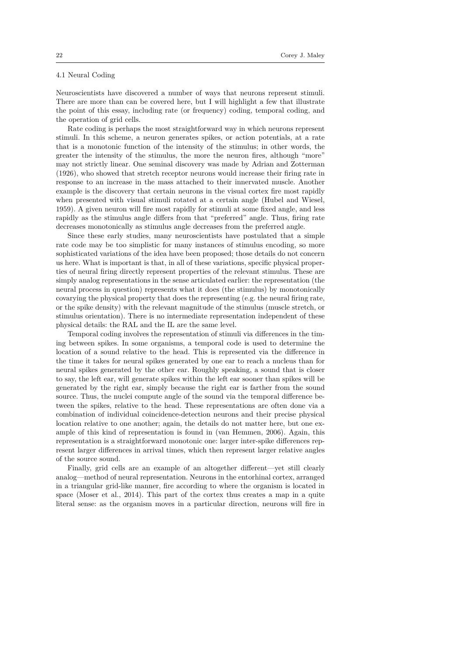# 4.1 Neural Coding

Neuroscientists have discovered a number of ways that neurons represent stimuli. There are more than can be covered here, but I will highlight a few that illustrate the point of this essay, including rate (or frequency) coding, temporal coding, and the operation of grid cells.

Rate coding is perhaps the most straightforward way in which neurons represent stimuli. In this scheme, a neuron generates spikes, or action potentials, at a rate that is a monotonic function of the intensity of the stimulus; in other words, the greater the intensity of the stimulus, the more the neuron fires, although "more" may not strictly linear. One seminal discovery was made by Adrian and Zotterman (1926), who showed that stretch receptor neurons would increase their firing rate in response to an increase in the mass attached to their innervated muscle. Another example is the discovery that certain neurons in the visual cortex fire most rapidly when presented with visual stimuli rotated at a certain angle (Hubel and Wiesel, 1959). A given neuron will fire most rapidly for stimuli at some fixed angle, and less rapidly as the stimulus angle differs from that "preferred" angle. Thus, firing rate decreases monotonically as stimulus angle decreases from the preferred angle.

Since these early studies, many neuroscientists have postulated that a simple rate code may be too simplistic for many instances of stimulus encoding, so more sophisticated variations of the idea have been proposed; those details do not concern us here. What is important is that, in all of these variations, specific physical properties of neural firing directly represent properties of the relevant stimulus. These are simply analog representations in the sense articulated earlier: the representation (the neural process in question) represents what it does (the stimulus) by monotonically covarying the physical property that does the representing (e.g. the neural firing rate, or the spike density) with the relevant magnitude of the stimulus (muscle stretch, or stimulus orientation). There is no intermediate representation independent of these physical details: the RAL and the IL are the same level.

Temporal coding involves the representation of stimuli via differences in the timing between spikes. In some organisms, a temporal code is used to determine the location of a sound relative to the head. This is represented via the difference in the time it takes for neural spikes generated by one ear to reach a nucleus than for neural spikes generated by the other ear. Roughly speaking, a sound that is closer to say, the left ear, will generate spikes within the left ear sooner than spikes will be generated by the right ear, simply because the right ear is farther from the sound source. Thus, the nuclei compute angle of the sound via the temporal difference between the spikes, relative to the head. These representations are often done via a combination of individual coincidence-detection neurons and their precise physical location relative to one another; again, the details do not matter here, but one example of this kind of representation is found in (van Hemmen, 2006). Again, this representation is a straightforward monotonic one: larger inter-spike differences represent larger differences in arrival times, which then represent larger relative angles of the source sound.

Finally, grid cells are an example of an altogether different—yet still clearly analog—method of neural representation. Neurons in the entorhinal cortex, arranged in a triangular grid-like manner, fire according to where the organism is located in space (Moser et al., 2014). This part of the cortex thus creates a map in a quite literal sense: as the organism moves in a particular direction, neurons will fire in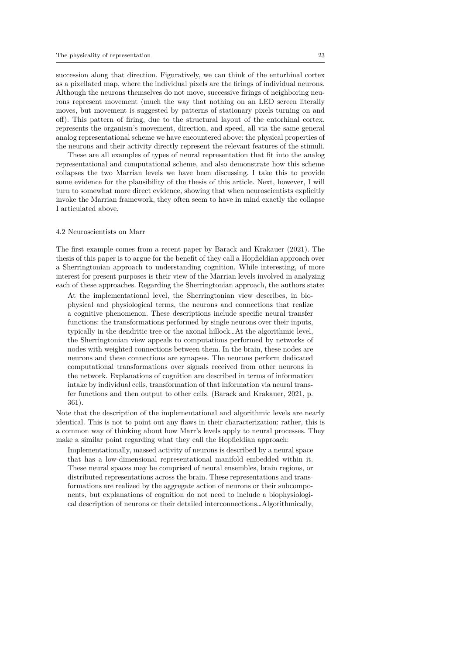succession along that direction. Figuratively, we can think of the entorhinal cortex as a pixellated map, where the individual pixels are the firings of individual neurons. Although the neurons themselves do not move, successive firings of neighboring neurons represent movement (much the way that nothing on an LED screen literally moves, but movement is suggested by patterns of stationary pixels turning on and off). This pattern of firing, due to the structural layout of the entorhinal cortex, represents the organism's movement, direction, and speed, all via the same general analog representational scheme we have encountered above: the physical properties of the neurons and their activity directly represent the relevant features of the stimuli.

These are all examples of types of neural representation that fit into the analog representational and computational scheme, and also demonstrate how this scheme collapses the two Marrian levels we have been discussing. I take this to provide some evidence for the plausibility of the thesis of this article. Next, however, I will turn to somewhat more direct evidence, showing that when neuroscientists explicitly invoke the Marrian framework, they often seem to have in mind exactly the collapse I articulated above.

#### 4.2 Neuroscientists on Marr

The first example comes from a recent paper by Barack and Krakauer (2021). The thesis of this paper is to argue for the benefit of they call a Hopfieldian approach over a Sherringtonian approach to understanding cognition. While interesting, of more interest for present purposes is their view of the Marrian levels involved in analyzing each of these approaches. Regarding the Sherringtonian approach, the authors state:

At the implementational level, the Sherringtonian view describes, in biophysical and physiological terms, the neurons and connections that realize a cognitive phenomenon. These descriptions include specific neural transfer functions: the transformations performed by single neurons over their inputs, typically in the dendritic tree or the axonal hillock…At the algorithmic level, the Sherringtonian view appeals to computations performed by networks of nodes with weighted connections between them. In the brain, these nodes are neurons and these connections are synapses. The neurons perform dedicated computational transformations over signals received from other neurons in the network. Explanations of cognition are described in terms of information intake by individual cells, transformation of that information via neural transfer functions and then output to other cells. (Barack and Krakauer, 2021, p. 361).

Note that the description of the implementational and algorithmic levels are nearly identical. This is not to point out any flaws in their characterization: rather, this is a common way of thinking about how Marr's levels apply to neural processes. They make a similar point regarding what they call the Hopfieldian approach:

Implementationally, massed activity of neurons is described by a neural space that has a low-dimensional representational manifold embedded within it. These neural spaces may be comprised of neural ensembles, brain regions, or distributed representations across the brain. These representations and transformations are realized by the aggregate action of neurons or their subcomponents, but explanations of cognition do not need to include a biophysiological description of neurons or their detailed interconnections…Algorithmically,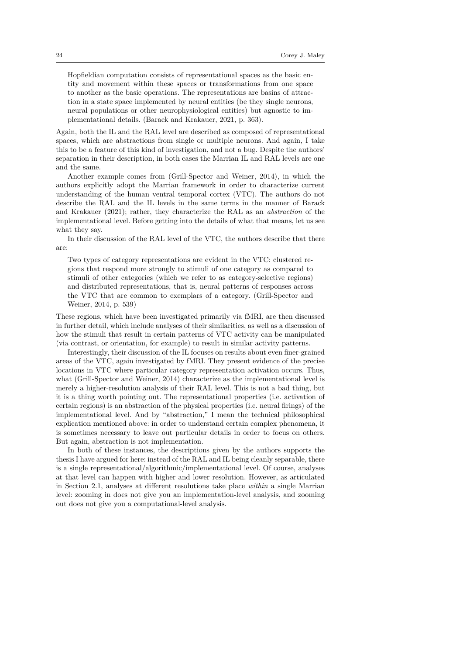Hopfieldian computation consists of representational spaces as the basic entity and movement within these spaces or transformations from one space to another as the basic operations. The representations are basins of attraction in a state space implemented by neural entities (be they single neurons, neural populations or other neurophysiological entities) but agnostic to implementational details. (Barack and Krakauer, 2021, p. 363).

Again, both the IL and the RAL level are described as composed of representational spaces, which are abstractions from single or multiple neurons. And again, I take this to be a feature of this kind of investigation, and not a bug. Despite the authors' separation in their description, in both cases the Marrian IL and RAL levels are one and the same.

Another example comes from (Grill-Spector and Weiner, 2014), in which the authors explicitly adopt the Marrian framework in order to characterize current understanding of the human ventral temporal cortex (VTC). The authors do not describe the RAL and the IL levels in the same terms in the manner of Barack and Krakauer (2021); rather, they characterize the RAL as an *abstraction* of the implementational level. Before getting into the details of what that means, let us see what they say.

In their discussion of the RAL level of the VTC, the authors describe that there are:

Two types of category representations are evident in the VTC: clustered regions that respond more strongly to stimuli of one category as compared to stimuli of other categories (which we refer to as category-selective regions) and distributed representations, that is, neural patterns of responses across the VTC that are common to exemplars of a category. (Grill-Spector and Weiner, 2014, p. 539)

These regions, which have been investigated primarily via fMRI, are then discussed in further detail, which include analyses of their similarities, as well as a discussion of how the stimuli that result in certain patterns of VTC activity can be manipulated (via contrast, or orientation, for example) to result in similar activity patterns.

Interestingly, their discussion of the IL focuses on results about even finer-grained areas of the VTC, again investigated by fMRI. They present evidence of the precise locations in VTC where particular category representation activation occurs. Thus, what (Grill-Spector and Weiner, 2014) characterize as the implementational level is merely a higher-resolution analysis of their RAL level. This is not a bad thing, but it is a thing worth pointing out. The representational properties (i.e. activation of certain regions) is an abstraction of the physical properties (i.e. neural firings) of the implementational level. And by "abstraction," I mean the technical philosophical explication mentioned above: in order to understand certain complex phenomena, it is sometimes necessary to leave out particular details in order to focus on others. But again, abstraction is not implementation.

In both of these instances, the descriptions given by the authors supports the thesis I have argued for here: instead of the RAL and IL being cleanly separable, there is a single representational/algorithmic/implementational level. Of course, analyses at that level can happen with higher and lower resolution. However, as articulated in Section 2.1, analyses at different resolutions take place *within* a single Marrian level: zooming in does not give you an implementation-level analysis, and zooming out does not give you a computational-level analysis.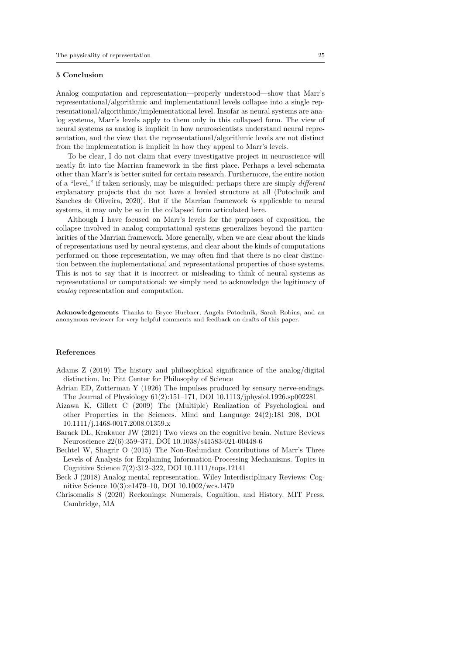## **5 Conclusion**

Analog computation and representation—properly understood—show that Marr's representational/algorithmic and implementational levels collapse into a single representational/algorithmic/implementational level. Insofar as neural systems are analog systems, Marr's levels apply to them only in this collapsed form. The view of neural systems as analog is implicit in how neuroscientists understand neural representation, and the view that the representational/algorithmic levels are not distinct from the implementation is implicit in how they appeal to Marr's levels.

To be clear, I do not claim that every investigative project in neuroscience will neatly fit into the Marrian framework in the first place. Perhaps a level schemata other than Marr's is better suited for certain research. Furthermore, the entire notion of a "level," if taken seriously, may be misguided: perhaps there are simply *different* explanatory projects that do not have a leveled structure at all (Potochnik and Sanches de Oliveira, 2020). But if the Marrian framework *is* applicable to neural systems, it may only be so in the collapsed form articulated here.

Although I have focused on Marr's levels for the purposes of exposition, the collapse involved in analog computational systems generalizes beyond the particularities of the Marrian framework. More generally, when we are clear about the kinds of representations used by neural systems, and clear about the kinds of computations performed on those representation, we may often find that there is no clear distinction between the implementational and representational properties of those systems. This is not to say that it is incorrect or misleading to think of neural systems as representational or computational: we simply need to acknowledge the legitimacy of *analog* representation and computation.

**Acknowledgements** Thanks to Bryce Huebner, Angela Potochnik, Sarah Robins, and an anonymous reviewer for very helpful comments and feedback on drafts of this paper.

#### **References**

Adams Z (2019) The history and philosophical significance of the analog/digital distinction. In: Pitt Center for Philosophy of Science

- Adrian ED, Zotterman Y (1926) The impulses produced by sensory nerve-endings. The Journal of Physiology 61(2):151–171, DOI 10.1113/jphysiol.1926.sp002281
- Aizawa K, Gillett C (2009) The (Multiple) Realization of Psychological and other Properties in the Sciences. Mind and Language 24(2):181–208, DOI 10.1111/j.1468-0017.2008.01359.x
- Barack DL, Krakauer JW (2021) Two views on the cognitive brain. Nature Reviews Neuroscience 22(6):359–371, DOI 10.1038/s41583-021-00448-6
- Bechtel W, Shagrir O (2015) The Non-Redundant Contributions of Marr's Three Levels of Analysis for Explaining Information-Processing Mechanisms. Topics in Cognitive Science 7(2):312–322, DOI 10.1111/tops.12141
- Beck J (2018) Analog mental representation. Wiley Interdisciplinary Reviews: Cognitive Science 10(3):e1479–10, DOI 10.1002/wcs.1479
- Chrisomalis S (2020) Reckonings: Numerals, Cognition, and History. MIT Press, Cambridge, MA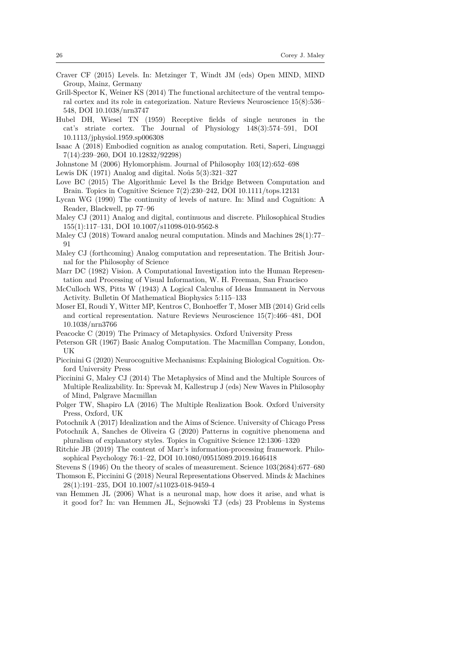- Craver CF (2015) Levels. In: Metzinger T, Windt JM (eds) Open MIND, MIND Group, Mainz, Germany
- Grill-Spector K, Weiner KS (2014) The functional architecture of the ventral temporal cortex and its role in categorization. Nature Reviews Neuroscience 15(8):536– 548, DOI 10.1038/nrn3747
- Hubel DH, Wiesel TN (1959) Receptive fields of single neurones in the cat's striate cortex. The Journal of Physiology 148(3):574–591, DOI 10.1113/jphysiol.1959.sp006308
- Isaac A (2018) Embodied cognition as analog computation. Reti, Saperi, Linguaggi 7(14):239–260, DOI 10.12832/92298)
- Johnstone M (2006) Hylomorphism. Journal of Philosophy 103(12):652–698

Lewis DK (1971) Analog and digital. Noûs 5(3):321–327

- Love BC (2015) The Algorithmic Level Is the Bridge Between Computation and Brain. Topics in Cognitive Science 7(2):230–242, DOI 10.1111/tops.12131
- Lycan WG (1990) The continuity of levels of nature. In: Mind and Cognition: A Reader, Blackwell, pp 77–96
- Maley CJ (2011) Analog and digital, continuous and discrete. Philosophical Studies 155(1):117–131, DOI 10.1007/s11098-010-9562-8
- Maley CJ (2018) Toward analog neural computation. Minds and Machines 28(1):77– 91
- Maley CJ (forthcoming) Analog computation and representation. The British Journal for the Philosophy of Science
- Marr DC (1982) Vision. A Computational Investigation into the Human Representation and Processing of Visual Information, W. H. Freeman, San Francisco
- McCulloch WS, Pitts W (1943) A Logical Calculus of Ideas Immanent in Nervous Activity. Bulletin Of Mathematical Biophysics 5:115–133
- Moser EI, Roudi Y, Witter MP, Kentros C, Bonhoeffer T, Moser MB (2014) Grid cells and cortical representation. Nature Reviews Neuroscience 15(7):466–481, DOI 10.1038/nrn3766
- Peacocke C (2019) The Primacy of Metaphysics. Oxford University Press
- Peterson GR (1967) Basic Analog Computation. The Macmillan Company, London, UK
- Piccinini G (2020) Neurocognitive Mechanisms: Explaining Biological Cognition. Oxford University Press
- Piccinini G, Maley CJ (2014) The Metaphysics of Mind and the Multiple Sources of Multiple Realizability. In: Sprevak M, Kallestrup J (eds) New Waves in Philosophy of Mind, Palgrave Macmillan
- Polger TW, Shapiro LA (2016) The Multiple Realization Book. Oxford University Press, Oxford, UK
- Potochnik A (2017) Idealization and the Aims of Science. University of Chicago Press
- Potochnik A, Sanches de Oliveira G (2020) Patterns in cognitive phenomena and pluralism of explanatory styles. Topics in Cognitive Science 12:1306–1320
- Ritchie JB (2019) The content of Marr's information-processing framework. Philosophical Psychology 76:1–22, DOI 10.1080/09515089.2019.1646418
- Stevens S (1946) On the theory of scales of measurement. Science 103(2684):677–680
- Thomson E, Piccinini G (2018) Neural Representations Observed. Minds & Machines 28(1):191–235, DOI 10.1007/s11023-018-9459-4
- van Hemmen JL (2006) What is a neuronal map, how does it arise, and what is it good for? In: van Hemmen JL, Sejnowski TJ (eds) 23 Problems in Systems